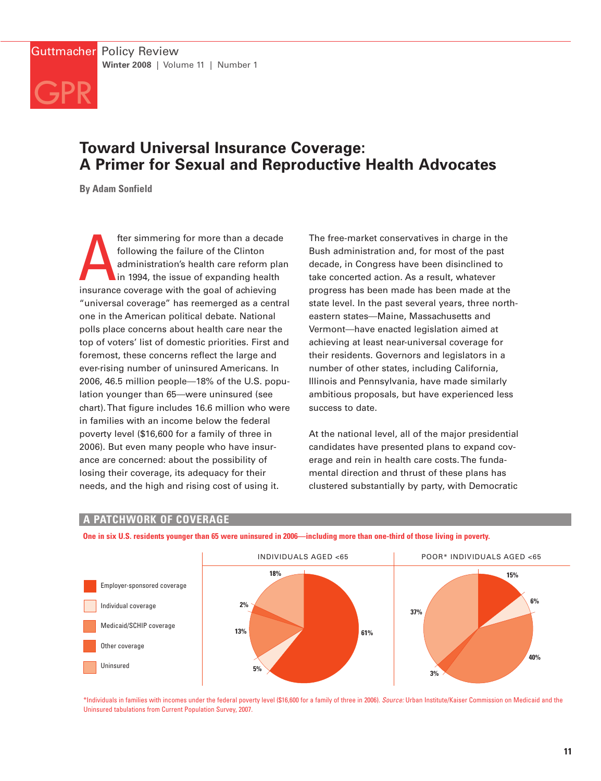

# **Toward Universal Insurance Coverage: A Primer for Sexual and Reproductive Health Advocates**

**By Adam Sonfield**

fter simmering for more than a decaded following the failure of the Clinton administration's health care reform p in 1994, the issue of expanding health insurance coverage with the goal of achieving fter simmering for more than a decade following the failure of the Clinton administration's health care reform plan in 1994, the issue of expanding health "universal coverage" has reemerged as a central one in the American political debate. National polls place concerns about health care near the top of voters' list of domestic priorities. First and foremost, these concerns reflect the large and ever-rising number of uninsured Americans. In 2006, 46.5 million people—18% of the U.S. population younger than 65—were uninsured (see chart).That figure includes 16.6 million who were in families with an income below the federal poverty level (\$16,600 for a family of three in 2006). But even many people who have insurance are concerned: about the possibility of losing their coverage, its adequacy for their needs, and the high and rising cost of using it.

The free-market conservatives in charge in the Bush administration and, for most of the past decade, in Congress have been disinclined to take concerted action. As a result, whatever progress has been made has been made at the state level. In the past several years, three northeastern states—Maine, Massachusetts and Vermont—have enacted legislation aimed at achieving at least near-universal coverage for their residents. Governors and legislators in a number of other states, including California, Illinois and Pennsylvania, have made similarly ambitious proposals, but have experienced less success to date.

At the national level, all of the major presidential candidates have presented plans to expand coverage and rein in health care costs.The fundamental direction and thrust of these plans has clustered substantially by party, with Democratic

#### **A PATCHWORK OF COVERAGE**

One in six U.S. residents younger than 65 were uninsured in 2006—including more than one-third of those living in poverty.



\*Individuals in families with incomes under the federal poverty level (\$16,600 for a family of three in 2006). *Source:* Urban Institute/Kaiser Commission on Medicaid and the Uninsured tabulations from Current Population Survey, 2007.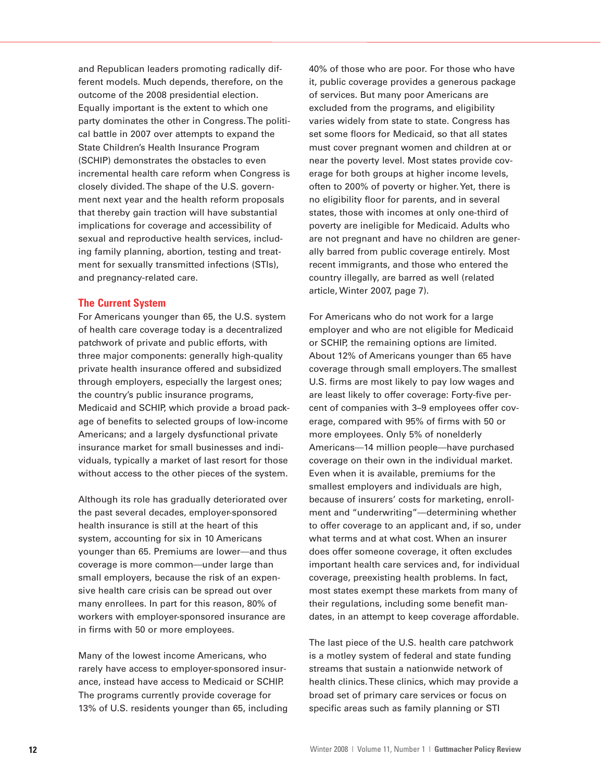and Republican leaders promoting radically different models. Much depends, therefore, on the outcome of the 2008 presidential election. Equally important is the extent to which one party dominates the other in Congress.The political battle in 2007 over attempts to expand the State Children's Health Insurance Program (SCHIP) demonstrates the obstacles to even incremental health care reform when Congress is closely divided.The shape of the U.S. government next year and the health reform proposals that thereby gain traction will have substantial implications for coverage and accessibility of sexual and reproductive health services, including family planning, abortion, testing and treatment for sexually transmitted infections (STIs), and pregnancy-related care.

### **The Current System**

For Americans younger than 65, the U.S. system of health care coverage today is a decentralized patchwork of private and public efforts, with three major components: generally high-quality private health insurance offered and subsidized through employers, especially the largest ones; the country's public insurance programs, Medicaid and SCHIP, which provide a broad package of benefits to selected groups of low-income Americans; and a largely dysfunctional private insurance market for small businesses and individuals, typically a market of last resort for those without access to the other pieces of the system.

Although its role has gradually deteriorated over the past several decades, employer-sponsored health insurance is still at the heart of this system, accounting for six in 10 Americans younger than 65. Premiums are lower—and thus coverage is more common—under large than small employers, because the risk of an expensive health care crisis can be spread out over many enrollees. In part for this reason, 80% of workers with employer-sponsored insurance are in firms with 50 or more employees.

Many of the lowest income Americans, who rarely have access to employer-sponsored insurance, instead have access to Medicaid or SCHIP. The programs currently provide coverage for 13% of U.S. residents younger than 65, including 40% of those who are poor. For those who have it, public coverage provides a generous package of services. But many poor Americans are excluded from the programs, and eligibility varies widely from state to state. Congress has set some floors for Medicaid, so that all states must cover pregnant women and children at or near the poverty level. Most states provide coverage for both groups at higher income levels, often to 200% of poverty or higher.Yet, there is no eligibility floor for parents, and in several states, those with incomes at only one-third of poverty are ineligible for Medicaid. Adults who are not pregnant and have no children are generally barred from public coverage entirely. Most recent immigrants, and those who entered the country illegally, are barred as well (related article, Winter 2007, page 7).

For Americans who do not work for a large employer and who are not eligible for Medicaid or SCHIP, the remaining options are limited. About 12% of Americans younger than 65 have coverage through small employers.The smallest U.S. firms are most likely to pay low wages and are least likely to offer coverage: Forty-five percent of companies with 3–9 employees offer coverage, compared with 95% of firms with 50 or more employees. Only 5% of nonelderly Americans—14 million people—have purchased coverage on their own in the individual market. Even when it is available, premiums for the smallest employers and individuals are high, because of insurers' costs for marketing, enrollment and "underwriting"—determining whether to offer coverage to an applicant and, if so, under what terms and at what cost. When an insurer does offer someone coverage, it often excludes important health care services and, for individual coverage, preexisting health problems. In fact, most states exempt these markets from many of their regulations, including some benefit mandates, in an attempt to keep coverage affordable.

The last piece of the U.S. health care patchwork is a motley system of federal and state funding streams that sustain a nationwide network of health clinics.These clinics, which may provide a broad set of primary care services or focus on specific areas such as family planning or STI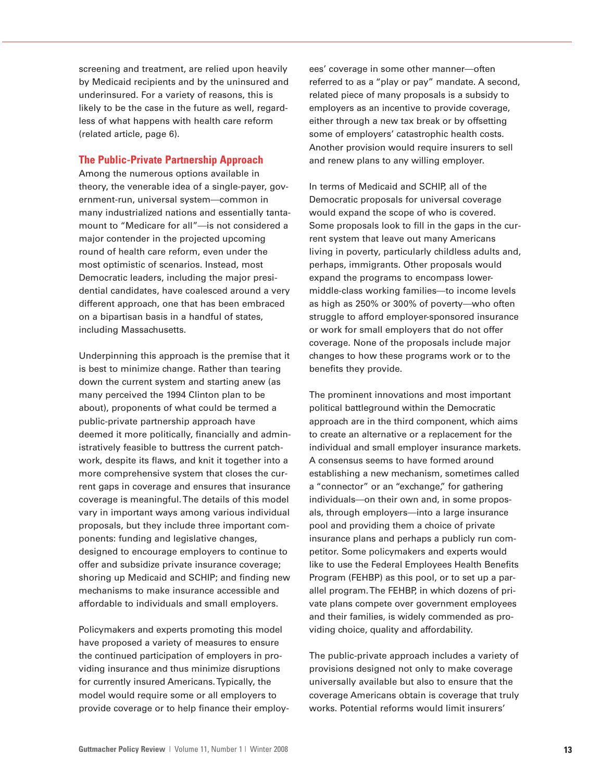screening and treatment, are relied upon heavily by Medicaid recipients and by the uninsured and underinsured. For a variety of reasons, this is likely to be the case in the future as well, regardless of what happens with health care reform (related article, page 6).

### **The Public-Private Partnership Approach**

Among the numerous options available in theory, the venerable idea of a single-payer, government-run, universal system—common in many industrialized nations and essentially tantamount to "Medicare for all"—is not considered a major contender in the projected upcoming round of health care reform, even under the most optimistic of scenarios. Instead, most Democratic leaders, including the major presidential candidates, have coalesced around a very different approach, one that has been embraced on a bipartisan basis in a handful of states, including Massachusetts.

Underpinning this approach is the premise that it is best to minimize change. Rather than tearing down the current system and starting anew (as many perceived the 1994 Clinton plan to be about), proponents of what could be termed a public-private partnership approach have deemed it more politically, financially and administratively feasible to buttress the current patchwork, despite its flaws, and knit it together into a more comprehensive system that closes the current gaps in coverage and ensures that insurance coverage is meaningful.The details of this model vary in important ways among various individual proposals, but they include three important components: funding and legislative changes, designed to encourage employers to continue to offer and subsidize private insurance coverage; shoring up Medicaid and SCHIP; and finding new mechanisms to make insurance accessible and affordable to individuals and small employers.

Policymakers and experts promoting this model have proposed a variety of measures to ensure the continued participation of employers in providing insurance and thus minimize disruptions for currently insured Americans.Typically, the model would require some or all employers to provide coverage or to help finance their employ-

ees' coverage in some other manner—often referred to as a "play or pay" mandate. A second, related piece of many proposals is a subsidy to employers as an incentive to provide coverage, either through a new tax break or by offsetting some of employers' catastrophic health costs. Another provision would require insurers to sell and renew plans to any willing employer.

In terms of Medicaid and SCHIP, all of the Democratic proposals for universal coverage would expand the scope of who is covered. Some proposals look to fill in the gaps in the current system that leave out many Americans living in poverty, particularly childless adults and, perhaps, immigrants. Other proposals would expand the programs to encompass lowermiddle-class working families—to income levels as high as 250% or 300% of poverty—who often struggle to afford employer-sponsored insurance or work for small employers that do not offer coverage. None of the proposals include major changes to how these programs work or to the benefits they provide.

The prominent innovations and most important political battleground within the Democratic approach are in the third component, which aims to create an alternative or a replacement for the individual and small employer insurance markets. A consensus seems to have formed around establishing a new mechanism, sometimes called a "connector" or an "exchange," for gathering individuals—on their own and, in some proposals, through employers—into a large insurance pool and providing them a choice of private insurance plans and perhaps a publicly run competitor. Some policymakers and experts would like to use the Federal Employees Health Benefits Program (FEHBP) as this pool, or to set up a parallel program.The FEHBP, in which dozens of private plans compete over government employees and their families, is widely commended as providing choice, quality and affordability.

The public-private approach includes a variety of provisions designed not only to make coverage universally available but also to ensure that the coverage Americans obtain is coverage that truly works. Potential reforms would limit insurers'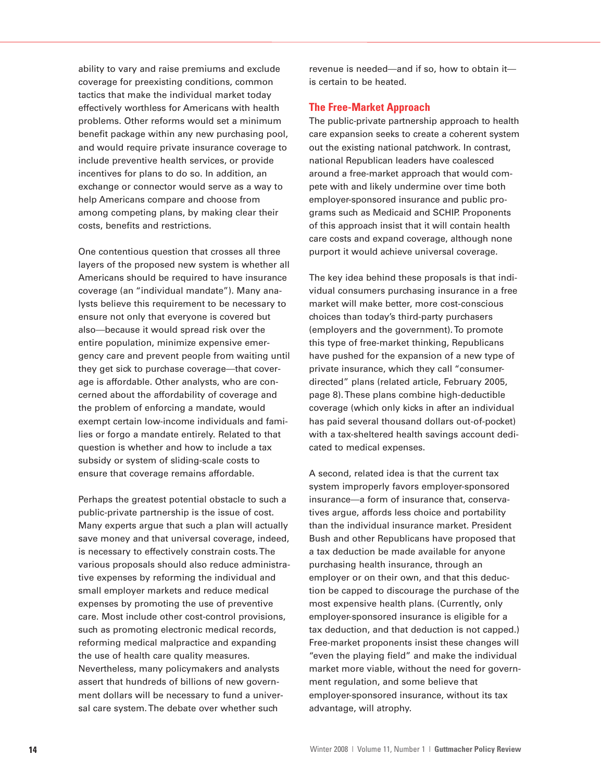ability to vary and raise premiums and exclude coverage for preexisting conditions, common tactics that make the individual market today effectively worthless for Americans with health problems. Other reforms would set a minimum benefit package within any new purchasing pool, and would require private insurance coverage to include preventive health services, or provide incentives for plans to do so. In addition, an exchange or connector would serve as a way to help Americans compare and choose from among competing plans, by making clear their costs, benefits and restrictions.

One contentious question that crosses all three layers of the proposed new system is whether all Americans should be required to have insurance coverage (an "individual mandate"). Many analysts believe this requirement to be necessary to ensure not only that everyone is covered but also—because it would spread risk over the entire population, minimize expensive emergency care and prevent people from waiting until they get sick to purchase coverage—that coverage is affordable. Other analysts, who are concerned about the affordability of coverage and the problem of enforcing a mandate, would exempt certain low-income individuals and families or forgo a mandate entirely. Related to that question is whether and how to include a tax subsidy or system of sliding-scale costs to ensure that coverage remains affordable.

Perhaps the greatest potential obstacle to such a public-private partnership is the issue of cost. Many experts argue that such a plan will actually save money and that universal coverage, indeed, is necessary to effectively constrain costs.The various proposals should also reduce administrative expenses by reforming the individual and small employer markets and reduce medical expenses by promoting the use of preventive care. Most include other cost-control provisions, such as promoting electronic medical records, reforming medical malpractice and expanding the use of health care quality measures. Nevertheless, many policymakers and analysts assert that hundreds of billions of new government dollars will be necessary to fund a universal care system.The debate over whether such

revenue is needed—and if so, how to obtain it is certain to be heated.

## **The Free-Market Approach**

The public-private partnership approach to health care expansion seeks to create a coherent system out the existing national patchwork. In contrast, national Republican leaders have coalesced around a free-market approach that would compete with and likely undermine over time both employer-sponsored insurance and public programs such as Medicaid and SCHIP. Proponents of this approach insist that it will contain health care costs and expand coverage, although none purport it would achieve universal coverage.

The key idea behind these proposals is that individual consumers purchasing insurance in a free market will make better, more cost-conscious choices than today's third-party purchasers (employers and the government).To promote this type of free-market thinking, Republicans have pushed for the expansion of a new type of private insurance, which they call "consumerdirected" plans (related article, February 2005, page 8).These plans combine high-deductible coverage (which only kicks in after an individual has paid several thousand dollars out-of-pocket) with a tax-sheltered health savings account dedicated to medical expenses.

A second, related idea is that the current tax system improperly favors employer-sponsored insurance—a form of insurance that, conservatives argue, affords less choice and portability than the individual insurance market. President Bush and other Republicans have proposed that a tax deduction be made available for anyone purchasing health insurance, through an employer or on their own, and that this deduction be capped to discourage the purchase of the most expensive health plans. (Currently, only employer-sponsored insurance is eligible for a tax deduction, and that deduction is not capped.) Free-market proponents insist these changes will "even the playing field" and make the individual market more viable, without the need for government regulation, and some believe that employer-sponsored insurance, without its tax advantage, will atrophy.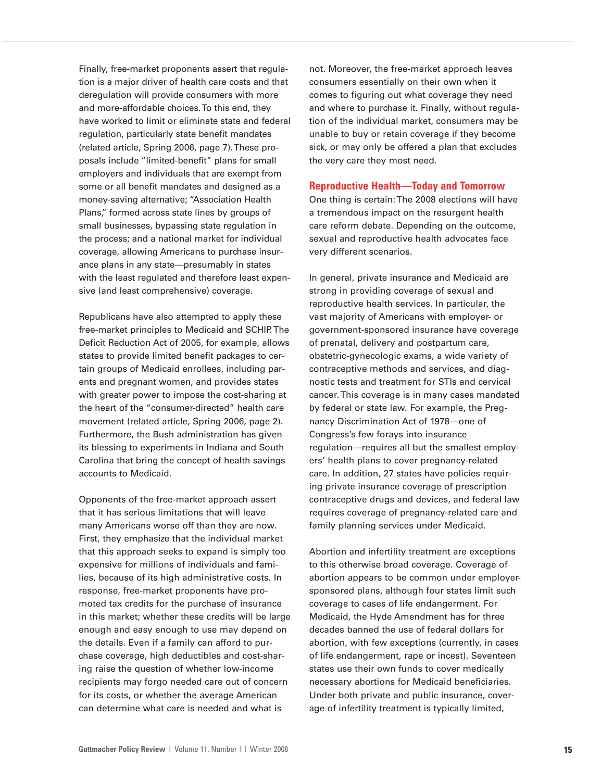Finally, free-market proponents assert that regulation is a major driver of health care costs and that deregulation will provide consumers with more and more-affordable choices.To this end, they have worked to limit or eliminate state and federal regulation, particularly state benefit mandates (related article, Spring 2006, page 7).These proposals include "limited-benefit" plans for small employers and individuals that are exempt from some or all benefit mandates and designed as a money-saving alternative; "Association Health Plans," formed across state lines by groups of small businesses, bypassing state regulation in the process; and a national market for individual coverage, allowing Americans to purchase insurance plans in any state—presumably in states with the least regulated and therefore least expensive (and least comprehensive) coverage.

Republicans have also attempted to apply these free-market principles to Medicaid and SCHIP.The Deficit Reduction Act of 2005, for example, allows states to provide limited benefit packages to certain groups of Medicaid enrollees, including parents and pregnant women, and provides states with greater power to impose the cost-sharing at the heart of the "consumer-directed" health care movement (related article, Spring 2006, page 2). Furthermore, the Bush administration has given its blessing to experiments in Indiana and South Carolina that bring the concept of health savings accounts to Medicaid.

Opponents of the free-market approach assert that it has serious limitations that will leave many Americans worse off than they are now. First, they emphasize that the individual market that this approach seeks to expand is simply too expensive for millions of individuals and families, because of its high administrative costs. In response, free-market proponents have promoted tax credits for the purchase of insurance in this market; whether these credits will be large enough and easy enough to use may depend on the details. Even if a family can afford to purchase coverage, high deductibles and cost-sharing raise the question of whether low-income recipients may forgo needed care out of concern for its costs, or whether the average American can determine what care is needed and what is

not. Moreover, the free-market approach leaves consumers essentially on their own when it comes to figuring out what coverage they need and where to purchase it. Finally, without regulation of the individual market, consumers may be unable to buy or retain coverage if they become sick, or may only be offered a plan that excludes the very care they most need.

#### **Reproductive Health—Today and Tomorrow**

One thing is certain:The 2008 elections will have a tremendous impact on the resurgent health care reform debate. Depending on the outcome, sexual and reproductive health advocates face very different scenarios.

In general, private insurance and Medicaid are strong in providing coverage of sexual and reproductive health services. In particular, the vast majority of Americans with employer- or government-sponsored insurance have coverage of prenatal, delivery and postpartum care, obstetric-gynecologic exams, a wide variety of contraceptive methods and services, and diagnostic tests and treatment for STIs and cervical cancer.This coverage is in many cases mandated by federal or state law. For example, the Pregnancy Discrimination Act of 1978—one of Congress's few forays into insurance regulation—requires all but the smallest employers' health plans to cover pregnancy-related care. In addition, 27 states have policies requiring private insurance coverage of prescription contraceptive drugs and devices, and federal law requires coverage of pregnancy-related care and family planning services under Medicaid.

Abortion and infertility treatment are exceptions to this otherwise broad coverage. Coverage of abortion appears to be common under employersponsored plans, although four states limit such coverage to cases of life endangerment. For Medicaid, the Hyde Amendment has for three decades banned the use of federal dollars for abortion, with few exceptions (currently, in cases of life endangerment, rape or incest). Seventeen states use their own funds to cover medically necessary abortions for Medicaid beneficiaries. Under both private and public insurance, coverage of infertility treatment is typically limited,